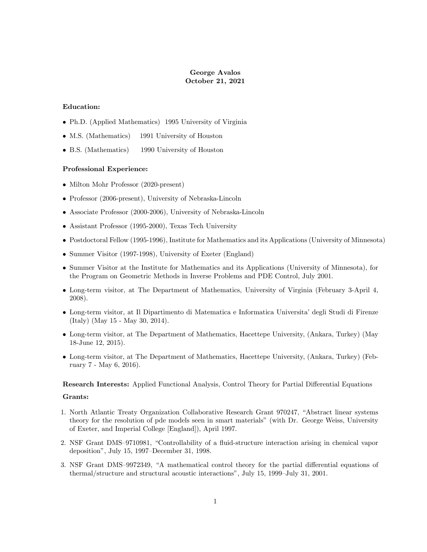# George Avalos October 21, 2021

## Education:

- Ph.D. (Applied Mathematics) 1995 University of Virginia
- M.S. (Mathematics) 1991 University of Houston
- B.S. (Mathematics) 1990 University of Houston

## Professional Experience:

- Milton Mohr Professor (2020-present)
- Professor (2006-present), University of Nebraska-Lincoln
- Associate Professor (2000-2006), University of Nebraska-Lincoln
- Assistant Professor (1995-2000), Texas Tech University
- Postdoctoral Fellow (1995-1996), Institute for Mathematics and its Applications (University of Minnesota)
- Summer Visitor (1997-1998), University of Exeter (England)
- Summer Visitor at the Institute for Mathematics and its Applications (University of Minnesota), for the Program on Geometric Methods in Inverse Problems and PDE Control, July 2001.
- Long-term visitor, at The Department of Mathematics, University of Virginia (February 3-April 4, 2008).
- Long-term visitor, at Il Dipartimento di Matematica e Informatica Universitaídegli Studi di Firenze (Italy) (May 15 - May 30, 2014).
- Long-term visitor, at The Department of Mathematics, Hacettepe University, (Ankara, Turkey) (May 18-June 12, 2015).
- Long-term visitor, at The Department of Mathematics, Hacettepe University, (Ankara, Turkey) (February 7 - May 6, 2016).

## Research Interests: Applied Functional Analysis, Control Theory for Partial Differential Equations

#### Grants:

- 1. North Atlantic Treaty Organization Collaborative Research Grant 970247, "Abstract linear systems theory for the resolution of pde models seen in smart materials" (with Dr. George Weiss, University of Exeter, and Imperial College [England]), April 1997.
- 2. NSF Grant DMS-9710981, "Controllability of a fluid-structure interaction arising in chemical vapor deposition", July 15, 1997–December 31, 1998.
- 3. NSF Grant DMS-9972349, "A mathematical control theory for the partial differential equations of thermal/structure and structural acoustic interactions", July 15, 1999–July 31, 2001.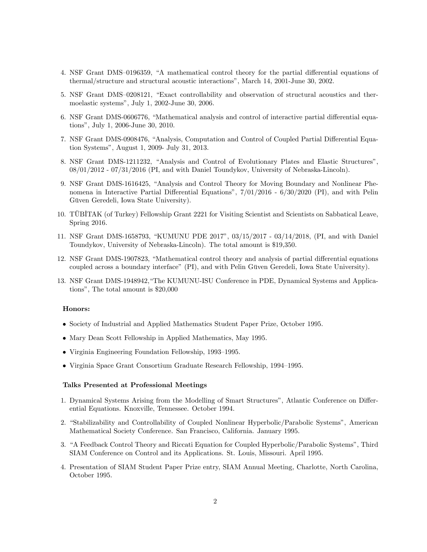- 4. NSF Grant DMS–0196359, "A mathematical control theory for the partial differential equations of thermal/structure and structural acoustic interactionsî, March 14, 2001-June 30, 2002.
- 5. NSF Grant DMS-0208121, "Exact controllability and observation of structural acoustics and thermoelastic systems", July 1, 2002-June 30, 2006.
- 6. NSF Grant DMS-0606776, "Mathematical analysis and control of interactive partial differential equations", July 1, 2006-June 30, 2010.
- 7. NSF Grant DMS-0908476, "Analysis, Computation and Control of Coupled Partial Differential Equation Systems", August 1, 2009- July 31, 2013.
- 8. NSF Grant DMS-1211232, "Analysis and Control of Evolutionary Plates and Elastic Structures", 08/01/2012 - 07/31/2016 (PI, and with Daniel Toundykov, University of Nebraska-Lincoln).
- 9. NSF Grant DMS-1616425, "Analysis and Control Theory for Moving Boundary and Nonlinear Phenomena in Interactive Partial Differential Equations",  $7/01/2016 - 6/30/2020$  (PI), and with Pelin Güven Geredeli, Iowa State University).
- 10. TÜBITAK (of Turkey) Fellowship Grant 2221 for Visiting Scientist and Scientists on Sabbatical Leave, Spring 2016.
- 11. NSF Grant DMS-1658793, "KUMUNU PDE 2017", 03/15/2017 03/14/2018, (PI, and with Daniel Toundykov, University of Nebraska-Lincoln). The total amount is \$19,350.
- 12. NSF Grant DMS-1907823, "Mathematical control theory and analysis of partial differential equations coupled across a boundary interface" (PI), and with Pelin Güven Geredeli, Iowa State University).
- 13. NSF Grant DMS-1948942, "The KUMUNU-ISU Conference in PDE, Dynamical Systems and Applications", The total amount is  $$20,000$

#### Honors:

- Society of Industrial and Applied Mathematics Student Paper Prize, October 1995.
- Mary Dean Scott Fellowship in Applied Mathematics, May 1995.
- $\bullet$  Virginia Engineering Foundation Fellowship, 1993–1995.
- Virginia Space Grant Consortium Graduate Research Fellowship,  $1994-1995$ .

### Talks Presented at Professional Meetings

- 1. Dynamical Systems Arising from the Modelling of Smart Structures", Atlantic Conference on Differential Equations. Knoxville, Tennessee. October 1994.
- 2. "Stabilizability and Controllability of Coupled Nonlinear Hyperbolic/Parabolic Systems", American Mathematical Society Conference. San Francisco, California. January 1995.
- 3. "A Feedback Control Theory and Riccati Equation for Coupled Hyperbolic/Parabolic Systems", Third SIAM Conference on Control and its Applications. St. Louis, Missouri. April 1995.
- 4. Presentation of SIAM Student Paper Prize entry, SIAM Annual Meeting, Charlotte, North Carolina, October 1995.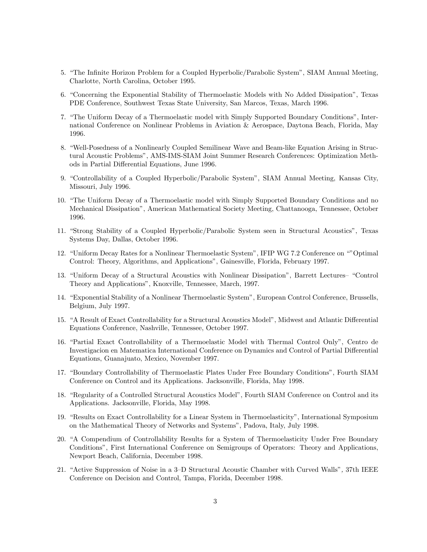- 5. "The Infinite Horizon Problem for a Coupled Hyperbolic/Parabolic System", SIAM Annual Meeting, Charlotte, North Carolina, October 1995.
- 6. "Concerning the Exponential Stability of Thermoelastic Models with No Added Dissipation", Texas PDE Conference, Southwest Texas State University, San Marcos, Texas, March 1996.
- 7. "The Uniform Decay of a Thermoelastic model with Simply Supported Boundary Conditions", International Conference on Nonlinear Problems in Aviation & Aerospace, Daytona Beach, Florida, May 1996.
- 8. "Well-Posedness of a Nonlinearly Coupled Semilinear Wave and Beam-like Equation Arising in Structural Acoustic Problems", AMS-IMS-SIAM Joint Summer Research Conferences: Optimization Methods in Partial Differential Equations, June 1996.
- 9. "Controllability of a Coupled Hyperbolic/Parabolic System", SIAM Annual Meeting, Kansas City, Missouri, July 1996.
- 10. "The Uniform Decay of a Thermoelastic model with Simply Supported Boundary Conditions and no Mechanical Dissipation", American Mathematical Society Meeting, Chattanooga, Tennessee, October 1996.
- 11. "Strong Stability of a Coupled Hyperbolic/Parabolic System seen in Structural Acoustics", Texas Systems Day, Dallas, October 1996.
- 12. "Uniform Decay Rates for a Nonlinear Thermoelastic System", IFIP WG 7.2 Conference on ""Optimal Control: Theory, Algorithms, and Applications", Gainesville, Florida, February 1997.
- 13. "Uniform Decay of a Structural Acoustics with Nonlinear Dissipation", Barrett Lectures- "Control Theory and Applications", Knoxville, Tennessee, March, 1997.
- 14. "Exponential Stability of a Nonlinear Thermoelastic System", European Control Conference, Brussells, Belgium, July 1997.
- 15. "A Result of Exact Controllability for a Structural Acoustics Model", Midwest and Atlantic Differential Equations Conference, Nashville, Tennessee, October 1997.
- 16. "Partial Exact Controllability of a Thermoelastic Model with Thermal Control Only", Centro de Investigacion en Matematica International Conference on Dynamics and Control of Partial Differential Equations, Guanajuato, Mexico, November 1997.
- 17. "Boundary Controllability of Thermoelastic Plates Under Free Boundary Conditions", Fourth SIAM Conference on Control and its Applications. Jacksonville, Florida, May 1998.
- 18. "Regularity of a Controlled Structural Acoustics Model", Fourth SIAM Conference on Control and its Applications. Jacksonville, Florida, May 1998.
- 19. "Results on Exact Controllability for a Linear System in Thermoelasticity", International Symposium on the Mathematical Theory of Networks and Systems", Padova, Italy, July 1998.
- 20. "A Compendium of Controllability Results for a System of Thermoelasticity Under Free Boundary Conditions", First International Conference on Semigroups of Operators: Theory and Applications, Newport Beach, California, December 1998.
- 21. "Active Suppression of Noise in a 3-D Structural Acoustic Chamber with Curved Walls", 37th IEEE Conference on Decision and Control, Tampa, Florida, December 1998.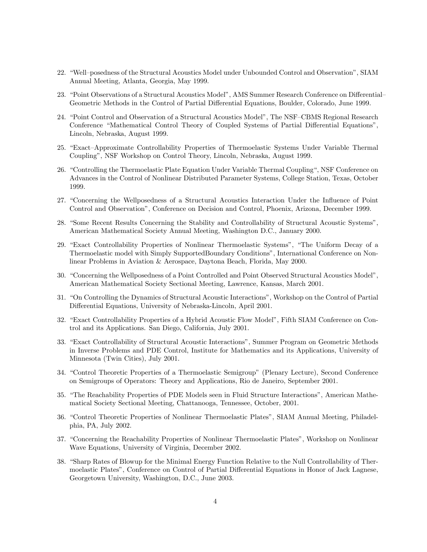- 22. "Well–posedness of the Structural Acoustics Model under Unbounded Control and Observation", SIAM Annual Meeting, Atlanta, Georgia, May 1999.
- 23. "Point Observations of a Structural Acoustics Model", AMS Summer Research Conference on Differential– Geometric Methods in the Control of Partial Differential Equations, Boulder, Colorado, June 1999.
- 24. "Point Control and Observation of a Structural Acoustics Model", The NSF–CBMS Regional Research Conference "Mathematical Control Theory of Coupled Systems of Partial Differential Equations", Lincoln, Nebraska, August 1999.
- 25. "Exact-Approximate Controllability Properties of Thermoelastic Systems Under Variable Thermal Couplingî, NSF Workshop on Control Theory, Lincoln, Nebraska, August 1999.
- 26. "Controlling the Thermoelastic Plate Equation Under Variable Thermal Coupling", NSF Conference on Advances in the Control of Nonlinear Distributed Parameter Systems, College Station, Texas, October 1999.
- 27. "Concerning the Wellposedness of a Structural Acoustics Interaction Under the Influence of Point Control and Observationî, Conference on Decision and Control, Phoenix, Arizona, December 1999.
- 28. "Some Recent Results Concerning the Stability and Controllability of Structural Acoustic Systems", American Mathematical Society Annual Meeting, Washington D.C., January 2000.
- 29. "Exact Controllability Properties of Nonlinear Thermoelastic Systems", "The Uniform Decay of a Thermoelastic model with Simply SupportedBoundary Conditionsî, International Conference on Nonlinear Problems in Aviation & Aerospace, Daytona Beach, Florida, May 2000.
- 30. "Concerning the Wellposedness of a Point Controlled and Point Observed Structural Acoustics Model", American Mathematical Society Sectional Meeting, Lawrence, Kansas, March 2001.
- 31. "On Controlling the Dynamics of Structural Acoustic Interactions", Workshop on the Control of Partial Differential Equations, University of Nebraska-Lincoln, April 2001.
- 32. "Exact Controllability Properties of a Hybrid Acoustic Flow Model", Fifth SIAM Conference on Control and its Applications. San Diego, California, July 2001.
- 33. "Exact Controllability of Structural Acoustic Interactions", Summer Program on Geometric Methods in Inverse Problems and PDE Control, Institute for Mathematics and its Applications, University of Minnesota (Twin Cities), July 2001.
- 34. "Control Theoretic Properties of a Thermoelastic Semigroup" (Plenary Lecture), Second Conference on Semigroups of Operators: Theory and Applications, Rio de Janeiro, September 2001.
- 35. "The Reachability Properties of PDE Models seen in Fluid Structure Interactions", American Mathematical Society Sectional Meeting, Chattanooga, Tennessee, October, 2001.
- 36. "Control Theoretic Properties of Nonlinear Thermoelastic Plates", SIAM Annual Meeting, Philadelphia, PA, July 2002.
- 37. "Concerning the Reachability Properties of Nonlinear Thermoelastic Plates", Workshop on Nonlinear Wave Equations, University of Virginia, December 2002.
- 38. "Sharp Rates of Blowup for the Minimal Energy Function Relative to the Null Controllability of Thermoelastic Plates", Conference on Control of Partial Differential Equations in Honor of Jack Lagnese, Georgetown University, Washington, D.C., June 2003.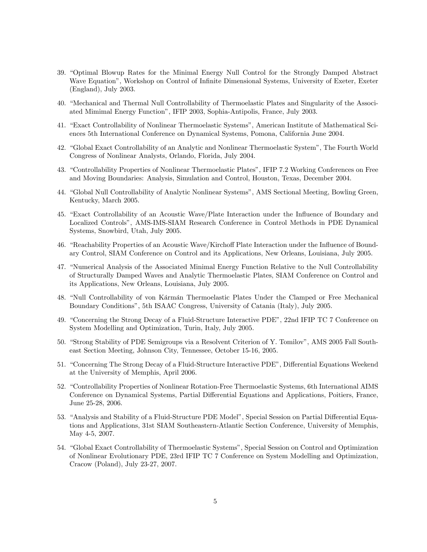- 39. "Optimal Blowup Rates for the Minimal Energy Null Control for the Strongly Damped Abstract Wave Equation", Workshop on Control of Infinite Dimensional Systems, University of Exeter, Exeter  $(England), July 2003.$
- 40. "Mechanical and Thermal Null Controllability of Thermoelastic Plates and Singularity of the Associated Mimimal Energy Function", IFIP 2003, Sophia-Antipolis, France, July 2003.
- 41. "Exact Controllability of Nonlinear Thermoelastic Systems", American Institute of Mathematical Sciences 5th International Conference on Dynamical Systems, Pomona, California June 2004.
- 42. "Global Exact Controllability of an Analytic and Nonlinear Thermoelastic System", The Fourth World Congress of Nonlinear Analysts, Orlando, Florida, July 2004.
- 43. "Controllability Properties of Nonlinear Thermoelastic Plates", IFIP 7.2 Working Conferences on Free and Moving Boundaries: Analysis, Simulation and Control, Houston, Texas, December 2004.
- 44. "Global Null Controllability of Analytic Nonlinear Systems", AMS Sectional Meeting, Bowling Green, Kentucky, March 2005.
- 45. "Exact Controllability of an Acoustic Wave/Plate Interaction under the Influence of Boundary and Localized Controls", AMS-IMS-SIAM Research Conference in Control Methods in PDE Dynamical Systems, Snowbird, Utah, July 2005.
- 46. "Reachability Properties of an Acoustic Wave/Kirchoff Plate Interaction under the Influence of Boundary Control, SIAM Conference on Control and its Applications, New Orleans, Louisiana, July 2005.
- 47. "Numerical Analysis of the Associated Minimal Energy Function Relative to the Null Controllability of Structurally Damped Waves and Analytic Thermoelastic Plates, SIAM Conference on Control and its Applications, New Orleans, Louisiana, July 2005.
- 48. "Null Controllability of von Kármán Thermoelastic Plates Under the Clamped or Free Mechanical Boundary Conditions", 5th ISAAC Congress, University of Catania (Italy), July 2005.
- 49. "Concerning the Strong Decay of a Fluid-Structure Interactive PDE", 22nd IFIP TC 7 Conference on System Modelling and Optimization, Turin, Italy, July 2005.
- 50. "Strong Stability of PDE Semigroups via a Resolvent Criterion of Y. Tomilov", AMS 2005 Fall Southeast Section Meeting, Johnson City, Tennessee, October 15-16, 2005.
- 51. "Concerning The Strong Decay of a Fluid-Structure Interactive PDE", Differential Equations Weekend at the University of Memphis, April 2006.
- 52. "Controllability Properties of Nonlinear Rotation-Free Thermoelastic Systems, 6th International AIMS Conference on Dynamical Systems, Partial Differential Equations and Applications, Poitiers, France, June 25-28, 2006.
- 53. "Analysis and Stability of a Fluid-Structure PDE Model", Special Session on Partial Differential Equations and Applications, 31st SIAM Southeastern-Atlantic Section Conference, University of Memphis, May 4-5, 2007.
- 54. "Global Exact Controllability of Thermoelastic Systems", Special Session on Control and Optimization of Nonlinear Evolutionary PDE, 23rd IFIP TC 7 Conference on System Modelling and Optimization, Cracow (Poland), July 23-27, 2007.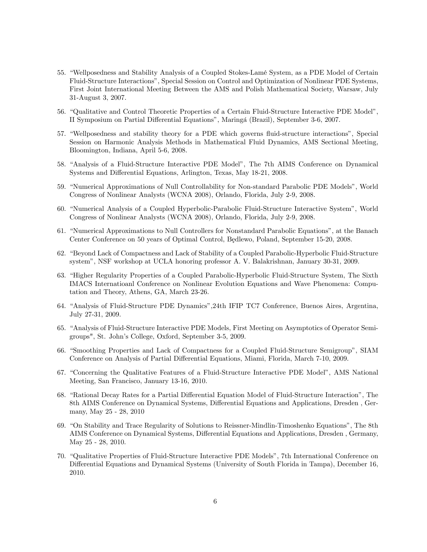- 55. "Wellposedness and Stability Analysis of a Coupled Stokes-Lamé System, as a PDE Model of Certain Fluid-Structure Interactionsî, Special Session on Control and Optimization of Nonlinear PDE Systems, First Joint International Meeting Between the AMS and Polish Mathematical Society, Warsaw, July 31-August 3, 2007.
- 56. "Qualitative and Control Theoretic Properties of a Certain Fluid-Structure Interactive PDE Model", II Symposium on Partial Differential Equations", Maringá (Brazil), September 3-6, 2007.
- 57. "Wellposedness and stability theory for a PDE which governs fluid-structure interactions", Special Session on Harmonic Analysis Methods in Mathematical Fluid Dynamics, AMS Sectional Meeting, Bloomington, Indiana, April 5-6, 2008.
- 58. "Analysis of a Fluid-Structure Interactive PDE Model", The 7th AIMS Conference on Dynamical Systems and Differential Equations, Arlington, Texas, May 18-21, 2008.
- 59. "Numerical Approximations of Null Controllability for Non-standard Parabolic PDE Models", World Congress of Nonlinear Analysts (WCNA 2008), Orlando, Florida, July 2-9, 2008.
- 60. "Numerical Analysis of a Coupled Hyperbolic-Parabolic Fluid-Structure Interactive System", World Congress of Nonlinear Analysts (WCNA 2008), Orlando, Florida, July 2-9, 2008.
- 61. "Numerical Approximations to Null Controllers for Nonstandard Parabolic Equations", at the Banach Center Conference on 50 years of Optimal Control, Bedlewo, Poland, September 15-20, 2008.
- 62. "Beyond Lack of Compactness and Lack of Stability of a Coupled Parabolic-Hyperbolic Fluid-Structure systemî, NSF workshop at UCLA honoring professor A. V. Balakrishnan, January 30-31, 2009.
- 63. "Higher Regularity Properties of a Coupled Parabolic-Hyperbolic Fluid-Structure System, The Sixth IMACS Internatioanl Conference on Nonlinear Evolution Equations and Wave Phenomena: Computation and Theory, Athens, GA, March 23-26.
- 64. "Analysis of Fluid-Structure PDE Dynamics", 24th IFIP TC7 Conference, Buenos Aires, Argentina, July 27-31, 2009.
- 65. "Analysis of Fluid-Structure Interactive PDE Models, First Meeting on Asymptotics of Operator Semigroups", St. Johnís College, Oxford, September 3-5, 2009.
- 66. "Smoothing Properties and Lack of Compactness for a Coupled Fluid-Structure Semigroup", SIAM Conference on Analysis of Partial Differential Equations, Miami, Florida, March 7-10, 2009.
- 67. "Concerning the Qualitative Features of a Fluid-Structure Interactive PDE Model", AMS National Meeting, San Francisco, January 13-16, 2010.
- 68. "Rational Decay Rates for a Partial Differential Equation Model of Fluid-Structure Interaction", The 8th AIMS Conference on Dynamical Systems, Differential Equations and Applications, Dresden, Germany, May 25 - 28, 2010
- 69. "On Stability and Trace Regularity of Solutions to Reissner-Mindlin-Timoshenko Equations", The 8th AIMS Conference on Dynamical Systems, Differential Equations and Applications, Dresden, Germany, May 25 - 28, 2010.
- 70. "Qualitative Properties of Fluid-Structure Interactive PDE Models", 7th International Conference on Differential Equations and Dynamical Systems (University of South Florida in Tampa), December 16, 2010.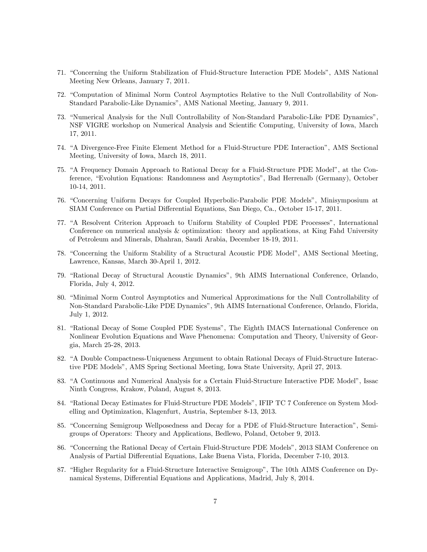- 71. "Concerning the Uniform Stabilization of Fluid-Structure Interaction PDE Models", AMS National Meeting New Orleans, January 7, 2011.
- 72. "Computation of Minimal Norm Control Asymptotics Relative to the Null Controllability of Non-Standard Parabolic-Like Dynamics", AMS National Meeting, January 9, 2011.
- 73. "Numerical Analysis for the Null Controllability of Non-Standard Parabolic-Like PDE Dynamics", NSF VIGRE workshop on Numerical Analysis and Scientific Computing, University of Iowa, March 17, 2011.
- 74. "A Divergence-Free Finite Element Method for a Fluid-Structure PDE Interaction", AMS Sectional Meeting, University of Iowa, March 18, 2011.
- 75. "A Frequency Domain Approach to Rational Decay for a Fluid-Structure PDE Model", at the Conference, "Evolution Equations: Randomness and Asymptotics", Bad Herrenalb (Germany), October 10-14, 2011.
- 76. "Concerning Uniform Decays for Coupled Hyperbolic-Parabolic PDE Models", Minisymposium at SIAM Conference on Partial Differential Equations, San Diego, Ca., October 15-17, 2011.
- 77. "A Resolvent Criterion Approach to Uniform Stability of Coupled PDE Processes", International Conference on numerical analysis & optimization: theory and applications, at King Fahd University of Petroleum and Minerals, Dhahran, Saudi Arabia, December 18-19, 2011.
- 78. "Concerning the Uniform Stability of a Structural Acoustic PDE Model", AMS Sectional Meeting, Lawrence, Kansas, March 30-April 1, 2012.
- 79. "Rational Decay of Structural Acoustic Dynamics", 9th AIMS International Conference, Orlando, Florida, July 4, 2012.
- 80. "Minimal Norm Control Asymptotics and Numerical Approximations for the Null Controllability of Non-Standard Parabolic-Like PDE Dynamicsî, 9th AIMS International Conference, Orlando, Florida, July 1, 2012.
- 81. "Rational Decay of Some Coupled PDE Systems", The Eighth IMACS International Conference on Nonlinear Evolution Equations and Wave Phenomena: Computation and Theory, University of Georgia, March 25-28, 2013.
- 82. "A Double Compactness-Uniqueness Argument to obtain Rational Decays of Fluid-Structure Interactive PDE Modelsî, AMS Spring Sectional Meeting, Iowa State University, April 27, 2013.
- 83. "A Continuous and Numerical Analysis for a Certain Fluid-Structure Interactive PDE Model", Issac Ninth Congress, Krakow, Poland, August 8, 2013.
- 84. "Rational Decay Estimates for Fluid-Structure PDE Models", IFIP TC 7 Conference on System Modelling and Optimization, Klagenfurt, Austria, September 8-13, 2013.
- 85. "Concerning Semigroup Wellposedness and Decay for a PDE of Fluid-Structure Interaction", Semigroups of Operators: Theory and Applications, Bedlewo, Poland, October 9, 2013.
- 86. "Concerning the Rational Decay of Certain Fluid-Structure PDE Models", 2013 SIAM Conference on Analysis of Partial Differential Equations, Lake Buena Vista, Florida, December 7-10, 2013.
- 87. "Higher Regularity for a Fluid-Structure Interactive Semigroup", The 10th AIMS Conference on Dynamical Systems, Differential Equations and Applications, Madrid, July 8, 2014.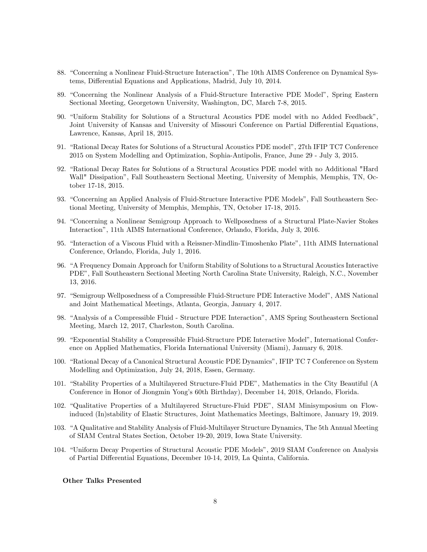- 88. "Concerning a Nonlinear Fluid-Structure Interaction", The 10th AIMS Conference on Dynamical Systems, Differential Equations and Applications, Madrid, July 10, 2014.
- 89. "Concerning the Nonlinear Analysis of a Fluid-Structure Interactive PDE Model", Spring Eastern Sectional Meeting, Georgetown University, Washington, DC, March 7-8, 2015.
- 90. "Uniform Stability for Solutions of a Structural Acoustics PDE model with no Added Feedback", Joint University of Kansas and University of Missouri Conference on Partial Differential Equations, Lawrence, Kansas, April 18, 2015.
- 91. "Rational Decay Rates for Solutions of a Structural Acoustics PDE model", 27th IFIP TC7 Conference 2015 on System Modelling and Optimization, Sophia-Antipolis, France, June 29 - July 3, 2015.
- 92. "Rational Decay Rates for Solutions of a Structural Acoustics PDE model with no Additional "Hard Wall" Dissipationî, Fall Southeastern Sectional Meeting, University of Memphis, Memphis, TN, October 17-18, 2015.
- 93. "Concerning an Applied Analysis of Fluid-Structure Interactive PDE Models", Fall Southeastern Sectional Meeting, University of Memphis, Memphis, TN, October 17-18, 2015.
- 94. "Concerning a Nonlinear Semigroup Approach to Wellposedness of a Structural Plate-Navier Stokes Interactionî, 11th AIMS International Conference, Orlando, Florida, July 3, 2016.
- 95. "Interaction of a Viscous Fluid with a Reissner-Mindlin-Timoshenko Plate", 11th AIMS International Conference, Orlando, Florida, July 1, 2016.
- 96. "A Frequency Domain Approach for Uniform Stability of Solutions to a Structural Acoustics Interactive PDEî, Fall Southeastern Sectional Meeting North Carolina State University, Raleigh, N.C., November 13, 2016.
- 97. "Semigroup Wellposedness of a Compressible Fluid-Structure PDE Interactive Model", AMS National and Joint Mathematical Meetings, Atlanta, Georgia, January 4, 2017.
- 98. "Analysis of a Compressible Fluid Structure PDE Interaction", AMS Spring Southeastern Sectional Meeting, March 12, 2017, Charleston, South Carolina.
- 99. "Exponential Stability a Compressible Fluid-Structure PDE Interactive Model", International Conference on Applied Mathematics, Florida International University (Miami), January 6, 2018.
- 100. "Rational Decay of a Canonical Structural Acoustic PDE Dynamics", IFIP TC 7 Conference on System Modelling and Optimization, July 24, 2018, Essen, Germany.
- 101. "Stability Properties of a Multilayered Structure-Fluid PDE", Mathematics in the City Beautiful (A Conference in Honor of Jiongmin Yongís 60th Birthday), December 14, 2018, Orlando, Florida.
- 102. "Qualitative Properties of a Multilayered Structure-Fluid PDE", SIAM Minisymposium on Flowinduced (In)stability of Elastic Structures, Joint Mathematics Meetings, Baltimore, January 19, 2019.
- 103. "A Qualitative and Stability Analysis of Fluid-Multilayer Structure Dynamics, The 5th Annual Meeting of SIAM Central States Section, October 19-20, 2019, Iowa State University.
- 104. "Uniform Decay Properties of Structural Acoustic PDE Models", 2019 SIAM Conference on Analysis of Partial Differential Equations, December 10-14, 2019, La Quinta, California.

Other Talks Presented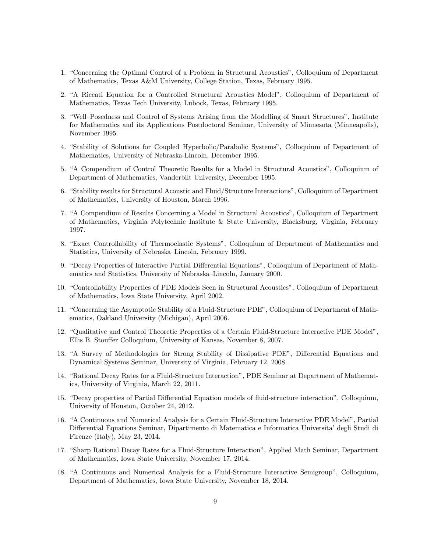- 1. "Concerning the Optimal Control of a Problem in Structural Acoustics", Colloquium of Department of Mathematics, Texas A&M University, College Station, Texas, February 1995.
- 2. "A Riccati Equation for a Controlled Structural Acoustics Model", Colloquium of Department of Mathematics, Texas Tech University, Lubock, Texas, February 1995.
- 3. "Well-Posedness and Control of Systems Arising from the Modelling of Smart Structures", Institute for Mathematics and its Applications Postdoctoral Seminar, University of Minnesota (Minneapolis), November 1995.
- 4. "Stability of Solutions for Coupled Hyperbolic/Parabolic Systems", Colloquium of Department of Mathematics, University of Nebraska-Lincoln, December 1995.
- 5. "A Compendium of Control Theoretic Results for a Model in Structural Acoustics", Colloquium of Department of Mathematics, Vanderbilt University, December 1995.
- 6. "Stability results for Structural Acoustic and Fluid/Structure Interactions", Colloquium of Department of Mathematics, University of Houston, March 1996.
- 7. "A Compendium of Results Concerning a Model in Structural Acoustics", Colloquium of Department of Mathematics, Virginia Polytechnic Institute & State University, Blacksburg, Virginia, February 1997.
- 8. "Exact Controllability of Thermoelastic Systems", Colloquium of Department of Mathematics and Statistics, University of Nebraska–Lincoln, February 1999.
- 9. "Decay Properties of Interactive Partial Differential Equations", Colloquium of Department of Mathematics and Statistics, University of Nebraska–Lincoln, January 2000.
- 10. "Controllability Properties of PDE Models Seen in Structural Acoustics", Colloquium of Department of Mathematics, Iowa State University, April 2002.
- 11. "Concerning the Asymptotic Stability of a Fluid-Structure PDE", Colloquium of Department of Mathematics, Oakland University (Michigan), April 2006.
- 12. "Qualitative and Control Theoretic Properties of a Certain Fluid-Structure Interactive PDE Model", Ellis B. Stouffer Colloquium, University of Kansas, November 8, 2007.
- 13. "A Survey of Methodologies for Strong Stability of Dissipative PDE", Differential Equations and Dynamical Systems Seminar, University of Virginia, February 12, 2008.
- 14. "Rational Decay Rates for a Fluid-Structure Interaction", PDE Seminar at Department of Mathematics, University of Virginia, March 22, 2011.
- 15. "Decay properties of Partial Differential Equation models of fluid-structure interaction", Colloquium, University of Houston, October 24, 2012.
- 16. "A Continuous and Numerical Analysis for a Certain Fluid-Structure Interactive PDE Model", Partial Differential Equations Seminar, Dipartimento di Matematica e Informatica Università' degli Studi di Firenze (Italy), May 23, 2014.
- 17. "Sharp Rational Decay Rates for a Fluid-Structure Interaction", Applied Math Seminar, Department of Mathematics, Iowa State University, November 17, 2014.
- 18. "A Continuous and Numerical Analysis for a Fluid-Structure Interactive Semigroup", Colloquium, Department of Mathematics, Iowa State University, November 18, 2014.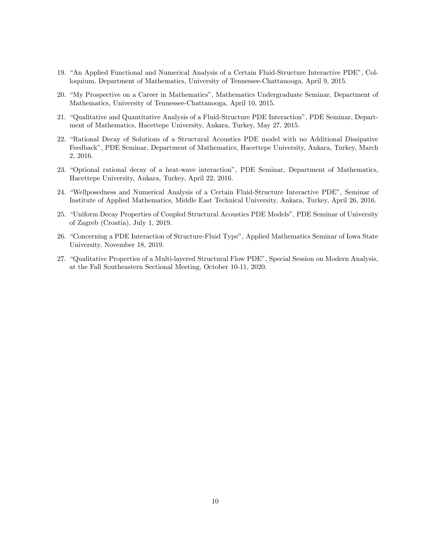- 19. "An Applied Functional and Numerical Analysis of a Certain Fluid-Structure Interactive PDE", Colloquium, Department of Mathematics, University of Tennessee-Chattanooga, April 9, 2015.
- 20. "My Prospective on a Career in Mathematics", Mathematics Undergraduate Seminar, Department of Mathematics, University of Tennessee-Chattanooga, April 10, 2015.
- 21. "Qualitative and Quantitative Analysis of a Fluid-Structure PDE Interaction", PDE Seminar, Department of Mathematics, Hacettepe University, Ankara, Turkey, May 27, 2015.
- 22. "Rational Decay of Solutions of a Structural Acoustics PDE model with no Additional Dissipative Feedback", PDE Seminar, Department of Mathematics, Hacettepe University, Ankara, Turkey, March 2, 2016.
- 23. "Optional rational decay of a heat-wave interaction", PDE Seminar, Department of Mathematics, Hacettepe University, Ankara, Turkey, April 22, 2016.
- 24. "Wellposedness and Numerical Analysis of a Certain Fluid-Structure Interactive PDE", Seminar of Institute of Applied Mathematics, Middle East Technical University, Ankara, Turkey, April 26, 2016.
- 25. "Uniform Decay Properties of Coupled Structural Acoustics PDE Models", PDE Seminar of University of Zagreb (Croatia), July 1, 2019.
- 26. "Concerning a PDE Interaction of Structure-Fluid Type", Applied Mathematics Seminar of Iowa State University, November 18, 2019.
- 27. "Qualitative Properties of a Multi-layered Structural Flow PDE", Special Session on Modern Analysis, at the Fall Southeastern Sectional Meeting, October 10-11, 2020.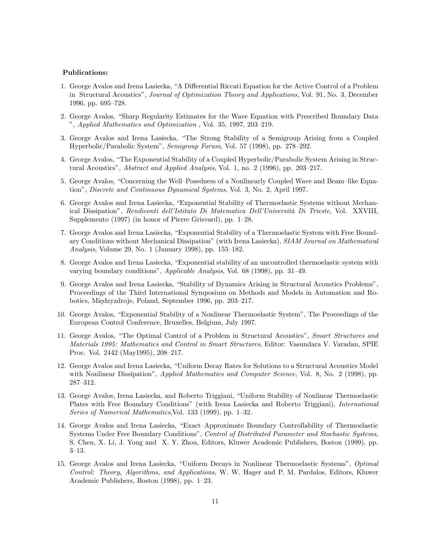### Publications:

- 1. George Avalos and Irena Lasiecka, "A Differential Riccati Equation for the Active Control of a Problem in Structural Acoustics", Journal of Optimization Theory and Applications, Vol. 91, No. 3, December 1996, pp. 695-728.
- 2. George Avalos, "Sharp Regularity Estimates for the Wave Equation with Prescribed Boundary Data  $\degree$ , Applied Mathematics and Optimization, Vol. 35, 1997, 203–219.
- 3. George Avalos and Irena Lasiecka, "The Strong Stability of a Semigroup Arising from a Coupled Hyperbolic/Parabolic System", Semigroup Forum, Vol. 57 (1998), pp. 278–292.
- 4. George Avalos, "The Exponential Stability of a Coupled Hyperbolic/Parabolic System Arising in Structural Acoustics", Abstract and Applied Analysis, Vol. 1, no. 2 (1996), pp. 203-217.
- 5. George Avalos, "Concerning the Well–Posedness of a Nonlinearly Coupled Wave and Beam–like Equationî, Discrete and Continuous Dynamical Systems, Vol. 3, No. 2, April 1997.
- 6. George Avalos and Irena Lasiecka, "Exponential Stability of Thermoelastic Systems without Mechanical Dissipation", Rendiconti dell'Istituto Di Matematica Dell'Università Di Trieste, Vol. XXVIII, Supplemento  $(1997)$  (in honor of Pierre Grisvard), pp. 1–28.
- 7. George Avalos and Irena Lasiecka, "Exponential Stability of a Thermoelastic System with Free Boundary Conditions without Mechanical Dissipation" (with Irena Lasiecka), SIAM Journal on Mathematical Analysis, Volume 29, No. 1 (January 1998), pp.  $155-182$ .
- 8. George Avalos and Irena Lasiecka, "Exponential stability of an uncontrolled thermoelastic system with varying boundary conditions", Applicable Analysis, Vol. 68 (1998), pp. 31-49.
- 9. George Avalos and Irena Lasiecka, "Stability of Dynamics Arising in Structural Acoustics Problems", Proceedings of the Third International Symposium on Methods and Models in Automation and Robotics, Międzyzdroje, Poland, September 1996, pp. 203–217.
- 10. George Avalos, "Exponential Stability of a Nonlinear Thermoelastic System", The Proceedings of the European Control Conference, Bruxelles, Belgium, July 1997.
- 11. George Avalos, "The Optimal Control of a Problem in Structural Acoustics", Smart Structures and Materials 1995: Mathematics and Control in Smart Structures, Editor: Vasundara V. Varadan, SPIE Proc. Vol. 2442 (May1995), 208–217.
- 12. George Avalos and Irena Lasiecka, "Uniform Decay Rates for Solutions to a Structural Acoustics Model with Nonlinear Dissipation", *Applied Mathematics and Computer Science*, Vol. 8, No. 2 (1998), pp. 287-312.
- 13. George Avalos, Irena Lasiecka, and Roberto Triggiani, "Uniform Stability of Nonlinear Thermoelastic Plates with Free Boundary Conditions" (with Irena Lasiecka and Roberto Triggiani), *International* Series of Numerical Mathematics, Vol. 133 (1999), pp.  $1-32$ .
- 14. George Avalos and Irena Lasiecka, "Exact-Approximate Boundary Controllability of Thermoelastic Systems Under Free Boundary Conditions", Control of Distributed Parameter and Stochastic Systems, S. Chen, X. Li, J. Yong and X. Y. Zhou, Editors, Kluwer Academic Publishers, Boston (1999), pp.  $3-13.$
- 15. George Avalos and Irena Lasiecka, "Uniform Decays in Nonlinear Thermoelastic Systems", Optimal Control: Theory, Algorithms, and Applications, W. W. Hager and P. M. Pardalos, Editors, Kluwer Academic Publishers, Boston (1998), pp. 1–23.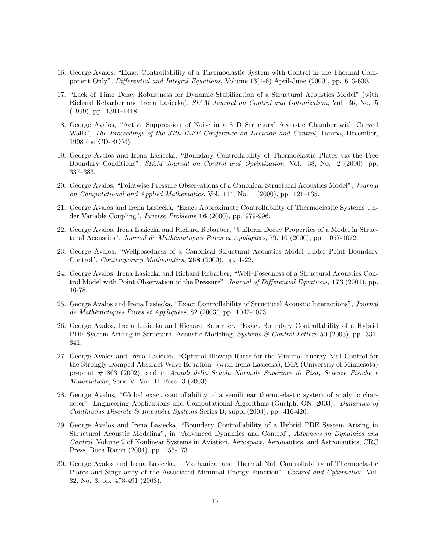- 16. George Avalos, "Exact Controllability of a Thermoelastic System with Control in the Thermal Component Only", Differential and Integral Equations, Volume 13(4-6) April-June (2000), pp. 613-630.
- 17. "Lack of Time–Delay Robustness for Dynamic Stabilization of a Structural Acoustics Model" (with Richard Rebarber and Irena Lasiecka), SIAM Journal on Control and Optimization, Vol. 36, No. 5  $(1999)$ , pp.  $1394-1418$ .
- 18. George Avalos, "Active Suppression of Noise in a 3-D Structural Acoustic Chamber with Curved Walls", The Proceedings of the 37th IEEE Conference on Decision and Control, Tampa, December, 1998 (on CD-ROM).
- 19. George Avalos and Irena Lasiecka, "Boundary Controllability of Thermoelastic Plates via the Free Boundary Conditionsî, SIAM Journal on Control and Optimization, Vol. 38, No. 2 (2000), pp. 337-383.
- 20. George Avalos, "Pointwise Pressure Observations of a Canonical Structural Acoustics Model", *Journal* on Computational and Applied Mathematics, Vol. 114, No. 1 (2000), pp. 121–135.
- 21. George Avalos and Irena Lasiecka, "Exact Approximate Controllability of Thermoelastic Systems Under Variable Coupling", *Inverse Problems* 16 (2000), pp. 979-996.
- 22. George Avalos, Irena Lasiecka and Richard Rebarber, "Uniform Decay Properties of a Model in Structural Acoustics", Journal de Mathématiques Pures et Appliquées, 79, 10 (2000), pp. 1057-1072.
- 23. George Avalos, "Wellposedness of a Canonical Structural Acoustics Model Under Point Boundary Control", Contemporary Mathematics, 268 (2000), pp. 1-22.
- 24. George Avalos, Irena Lasiecka and Richard Rebarber, "Well-Posedness of a Structural Acoustics Control Model with Point Observation of the Pressure", *Journal of Differential Equations*, 173 (2001), pp. 40-78.
- 25. George Avalos and Irena Lasiecka, "Exact Controllability of Structural Acoustic Interactions", Journal de Mathématiques Pures et Appliquées, 82 (2003), pp. 1047-1073.
- 26. George Avalos, Irena Lasiecka and Richard Rebarber, "Exact Boundary Controllability of a Hybrid PDE System Arising in Structural Acoustic Modeling, *Systems*  $\&$  Control Letters 50 (2003), pp. 331-341.
- 27. George Avalos and Irena Lasiecka, "Optimal Blowup Rates for the Minimal Energy Null Control for the Strongly Damped Abstract Wave Equation" (with Irena Lasiecka), IMA (University of Minnesota) preprint #1863 (2002), and in Annali della Scuola Normale Superiore di Pisa, Scienze Fisiche e Matematiche, Serie V. Vol. II. Fasc. 3 (2003).
- 28. George Avalos, "Global exact controllability of a semilinear thermoelastic system of analytic character", Engineering Applications and Computational Algorithms (Guelph, ON, 2003). Dynamics of Continuous Discrete & Impulsive Systems Series B, suppl.(2003), pp. 416-420.
- 29. George Avalos and Irena Lasiecka, "Boundary Controllability of a Hybrid PDE System Arising in Structural Acoustic Modeling", in "Advanced Dynamics and Control", Advances in Dynamics and Control, Volume 2 of Nonlinear Systems in Aviation, Aerospace, Aeronautics, and Astronautics, CRC Press, Boca Raton (2004), pp. 155-173.
- 30. George Avalos and Irena Lasiecka, "Mechanical and Thermal Null Controllability of Thermoelastic Plates and Singularity of the Associated Mimimal Energy Function", Control and Cybernetics, Vol. 32, No. 3, pp. 473-491 (2003).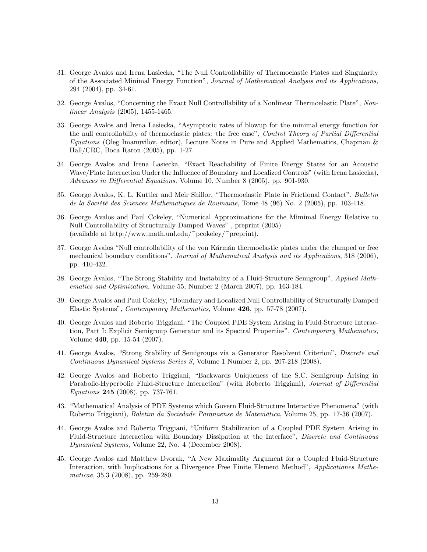- 31. George Avalos and Irena Lasiecka, "The Null Controllability of Thermoelastic Plates and Singularity of the Associated Minimal Energy Functionî, Journal of Mathematical Analysis and its Applications, 294 (2004), pp. 34-61.
- 32. George Avalos, "Concerning the Exact Null Controllability of a Nonlinear Thermoelastic Plate", Nonlinear Analysis (2005), 1455-1465.
- 33. George Avalos and Irena Lasiecka, "Asymptotic rates of blowup for the minimal energy function for the null controllability of thermoelastic plates: the free case", Control Theory of Partial Differential Equations (Oleg Imanuvilov, editor), Lecture Notes in Pure and Applied Mathematics, Chapman & Hall/CRC, Boca Raton (2005), pp. 1-27.
- 34. George Avalos and Irena Lasiecka, "Exact Reachability of Finite Energy States for an Acoustic Wave/Plate Interaction Under the Influence of Boundary and Localized Controls" (with Irena Lasiecka), Advances in Differential Equations, Volume 10, Number 8 (2005), pp. 901-930.
- 35. George Avalos, K. L. Kuttler and Meir Shillor, "Thermoelastic Plate in Frictional Contact", Bulletin de la Société des Sciences Mathematiques de Roumaine, Tome 48 (96) No. 2 (2005), pp. 103-118.
- 36. George Avalos and Paul Cokeley, "Numerical Approximations for the Mimimal Energy Relative to Null Controllability of Structurally Damped Waves", preprint (2005) (available at http://www.math.unl.edu/~pcokeley/~preprint).
- 37. George Avalos "Null controllability of the von Karman thermoelastic plates under the clamped or free mechanical boundary conditions", *Journal of Mathematical Analysis and its Applications*, 318 (2006), pp. 410-432.
- 38. George Avalos, "The Strong Stability and Instability of a Fluid-Structure Semigroup", Applied Mathematics and Optimization, Volume 55, Number 2 (March 2007), pp. 163-184.
- 39. George Avalos and Paul Cokeley, "Boundary and Localized Null Controllability of Structurally Damped Elastic Systemsî, Contemporary Mathematics, Volume 426, pp. 57-78 (2007).
- 40. George Avalos and Roberto Triggiani, "The Coupled PDE System Arising in Fluid-Structure Interaction, Part I: Explicit Semigroup Generator and its Spectral Properties", Contemporary Mathematics, Volume 440, pp. 15-54 (2007).
- 41. George Avalos, "Strong Stability of Semigroups via a Generator Resolvent Criterion", Discrete and Continuous Dynamical Systems Series S, Volume 1 Number 2, pp. 207-218 (2008).
- 42. George Avalos and Roberto Triggiani, "Backwards Uniqueness of the S.C. Semigroup Arising in Parabolic-Hyperbolic Fluid-Structure Interaction" (with Roberto Triggiani), Journal of Differential Equations 245 (2008), pp. 737-761.
- 43. "Mathematical Analysis of PDE Systems which Govern Fluid-Structure Interactive Phenomena" (with Roberto Triggiani), Boletim da Sociedade Paranaense de Matemática, Volume 25, pp. 17-36 (2007).
- 44. George Avalos and Roberto Triggiani, "Uniform Stabilization of a Coupled PDE System Arising in Fluid-Structure Interaction with Boundary Dissipation at the Interfaceî, Discrete and Continuous Dynamical Systems, Volume 22, No. 4 (December 2008).
- 45. George Avalos and Matthew Dvorak, "A New Maximality Argument for a Coupled Fluid-Structure Interaction, with Implications for a Divergence Free Finite Element Method", Applicationes Mathematicae, 35,3 (2008), pp. 259-280.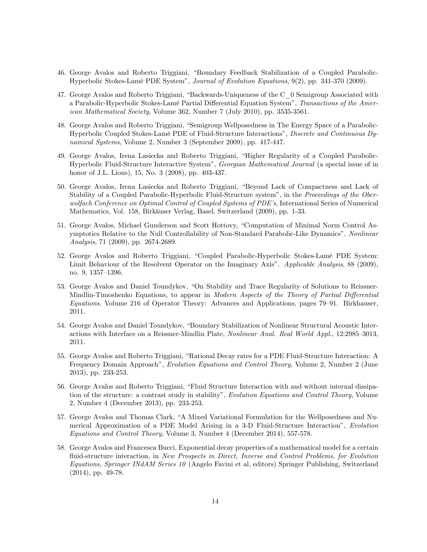- 46. George Avalos and Roberto Triggiani, "Boundary Feedback Stabilization of a Coupled Parabolic-Hyperbolic Stokes-LamÈ PDE Systemî, Journal of Evolution Equations, 9(2), pp. 341-370 (2009).
- 47. George Avalos and Roberto Triggiani, "Backwards-Uniqueness of the C 0 Semigroup Associated with a Parabolic-Hyperbolic Stokes-Lamé Partial Differential Equation System", Transactions of the American Mathematical Society, Volume 362, Number 7 (July 2010), pp. 3535-3561.
- 48. George Avalos and Roberto Triggiani, "Semigroup Wellposedness in The Energy Space of a Parabolic-Hyperbolic Coupled Stokes-Lamé PDE of Fluid-Structure Interactions", Discrete and Continuous Dynamical Systems, Volume 2, Number 3 (September 2009), pp. 417-447.
- 49. George Avalos, Irena Lasiecka and Roberto Triggiani, "Higher Regularity of a Coupled Parabolic-Hyperbolic Fluid-Structure Interactive Systemî, Georgian Mathematical Journal (a special issue of in honor of J.L. Lions), 15, No. 3 (2008), pp. 403-437.
- 50. George Avalos, Irena Lasiecka and Roberto Triggiani, "Beyond Lack of Compactness and Lack of Stability of a Coupled Parabolic-Hyperbolic Fluid-Structure system", in the *Proceedings of the Ober*wolfach Conference on Optimal Control of Coupled Systems of PDE's, International Series of Numerical Mathematics, Vol. 158, Birkäuser Verlag, Basel, Switzerland (2009), pp. 1-33.
- 51. George Avalos, Michael Gunderson and Scott Hottovy, "Computation of Minimal Norm Control Asymptotics Relative to the Null Controllability of Non-Standard Parabolic-Like Dynamics", Nonlinear Analysis, 71 (2009), pp. 2674-2689.
- 52. George Avalos and Roberto Triggiani, "Coupled Parabolic-Hyperbolic Stokes-Lamé PDE System: Limit Behaviour of the Resolvent Operator on the Imaginary Axis". Applicable Analysis, 88 (2009), no. 9, 1357-1396.
- 53. George Avalos and Daniel Toundykov, "On Stability and Trace Regularity of Solutions to Reissner-Mindlin-Timoshenko Equations, to appear in Modern Aspects of the Theory of Partial Differential  $Equations$ , Volume 216 of Operator Theory: Advances and Applications, pages 79–91. Birkhauser, 2011.
- 54. George Avalos and Daniel Toundykov, "Boundary Stabilization of Nonlinear Structural Acoustic Interactions with Interface on a Reissner-Mindlin Plate, Nonlinear Anal. Real World Appl., 12:2985–3013, 2011.
- 55. George Avalos and Roberto Triggiani, "Rational Decay rates for a PDE Fluid-Structure Interaction: A Frequency Domain Approach", Evolution Equations and Control Theory, Volume 2, Number 2 (June 2013), pp. 233-253.
- 56. George Avalos and Roberto Triggiani, "Fluid Structure Interaction with and without internal dissipation of the structure: a contrast study in stability", Evolution Equations and Control Theory, Volume 2, Number 4 (December 2013), pp. 233-253.
- 57. George Avalos and Thomas Clark, "A Mixed Variational Formulation for the Wellposedness and Numerical Approximation of a PDE Model Arising in a 3-D Fluid-Structure Interaction", Evolution Equations and Control Theory, Volume 3, Number 4 (December 2014), 557-578.
- 58. George Avalos and Francesca Bucci, Exponential decay properties of a mathematical model for a certain fluid-structure interaction, in New Prospects in Direct, Inverse and Control Problems, for Evolution Equations, Springer INdAM Series 10 (Angelo Favini et al, editors) Springer Publishing, Switzerland (2014), pp. 49-78.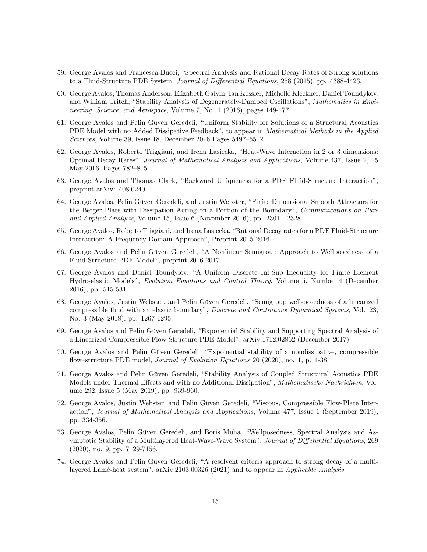- 59. George Avalos and Francesca Bucci, "Spectral Analysis and Rational Decay Rates of Strong solutions to a Fluid-Structure PDE System, *Journal of Differential Equations*, 258 (2015), pp. 4388-4423.
- 60. George Avalos, Thomas Anderson, Elizabeth Galvin, Ian Kessler, Michelle Kleckner, Daniel Toundykov, and William Tritch, "Stability Analysis of Degenerately-Damped Oscillations", Mathematics in Engineering, Science, and Aerospace, Volume 7, No. 1 (2016), pages 149-177.
- 61. George Avalos and Pelin Güven Geredeli, "Uniform Stability for Solutions of a Structural Acoustics PDE Model with no Added Dissipative Feedback", to appear in *Mathematical Methods in the Applied*  $Sciences$ , Volume 39, Issue 18, December 2016 Pages 5497–5512.
- 62. George Avalos, Roberto Triggiani, and Irena Lasiecka, "Heat-Wave Interaction in 2 or 3 dimensions: Optimal Decay Ratesî, Journal of Mathematical Analysis and Applications, Volume 437, Issue 2, 15 May 2016, Pages 782-815.
- 63. George Avalos and Thomas Clark, "Backward Uniqueness for a PDE Fluid-Structure Interaction", preprint arXiv:1408.0240.
- 64. George Avalos, Pelin Güven Geredeli, and Justin Webster, "Finite Dimensional Smooth Attractors for the Berger Plate with Dissipation Acting on a Portion of the Boundary", Communications on Pure and Applied Analysis, Volume 15, Issue 6 (November 2016), pp. 2301 - 2328.
- 65. George Avalos, Roberto Triggiani, and Irena Lasiecka, "Rational Decay rates for a PDE Fluid-Structure Interaction: A Frequency Domain Approach", Preprint 2015-2016.
- 66. George Avalos and Pelin Güven Geredeli, "A Nonlinear Semigroup Approach to Wellposedness of a Fluid-Structure PDE Model", preprint 2016-2017.
- 67. George Avalos and Daniel Toundylov, "A Uniform Discrete Inf-Sup Inequality for Finite Element Hydro-elastic Modelsî, Evolution Equations and Control Theory, Volume 5, Number 4 (December 2016), pp. 515-531.
- 68. George Avalos, Justin Webster, and Pelin Güven Geredeli, "Semigroup well-posedness of a linearized compressible fluid with an elastic boundary", *Discrete and Continuous Dynamical Systems*, Vol. 23, No. 3 (May 2018), pp. 1267-1295.
- 69. George Avalos and Pelin Güven Geredeli, "Exponential Stability and Supporting Spectral Analysis of a Linearized Compressible Flow-Structure PDE Modelî, arXiv:1712.02852 (December 2017).
- 70. George Avalos and Pelin Güven Geredeli, "Exponential stability of a nondissipative, compressible flow-structure PDE model, *Journal of Evolution Equations* 20 (2020), no. 1, p. 1-38.
- 71. George Avalos and Pelin Güven Geredeli, "Stability Analysis of Coupled Structural Acoustics PDE Models under Thermal Effects and with no Additional Dissipation", Mathematische Nachrichten, Volume 292, Issue 5 (May 2019), pp. 939-960.
- 72. George Avalos, Justin Webster, and Pelin Güven Geredeli, "Viscous, Compressible Flow-Plate Interactionî, Journal of Mathematical Analysis and Applications, Volume 477, Issue 1 (September 2019), pp. 334-356.
- 73. George Avalos, Pelin Güven Geredeli, and Boris Muha, "Wellposedness, Spectral Analysis and Asymptotic Stability of a Multilayered Heat-Wave-Wave System", Journal of Differential Equations, 269 (2020), no. 9, pp. 7129-7156.
- 74. George Avalos and Pelin Güven Geredeli, "A resolvent criteria approach to strong decay of a multilayered Lamé-heat system", arXiv:2103.00326 (2021) and to appear in Applicable Analysis.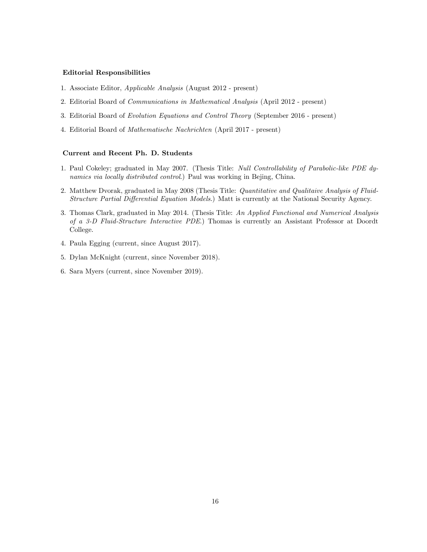### Editorial Responsibilities

- 1. Associate Editor, Applicable Analysis (August 2012 present)
- 2. Editorial Board of Communications in Mathematical Analysis (April 2012 present)
- 3. Editorial Board of Evolution Equations and Control Theory (September 2016 present)
- 4. Editorial Board of Mathematische Nachrichten (April 2017 present)

# Current and Recent Ph. D. Students

- 1. Paul Cokeley; graduated in May 2007. (Thesis Title: Null Controllability of Parabolic-like PDE dynamics via locally distributed control.) Paul was working in Bejing, China.
- 2. Matthew Dvorak, graduated in May 2008 (Thesis Title: Quantitative and Qualitaive Analysis of Fluid-Structure Partial Differential Equation Models.) Matt is currently at the National Security Agency.
- 3. Thomas Clark, graduated in May 2014. (Thesis Title: An Applied Functional and Numerical Analysis of a 3-D Fluid-Structure Interactive PDE.) Thomas is currently an Assistant Professor at Doordt College.
- 4. Paula Egging (current, since August 2017).
- 5. Dylan McKnight (current, since November 2018).
- 6. Sara Myers (current, since November 2019).